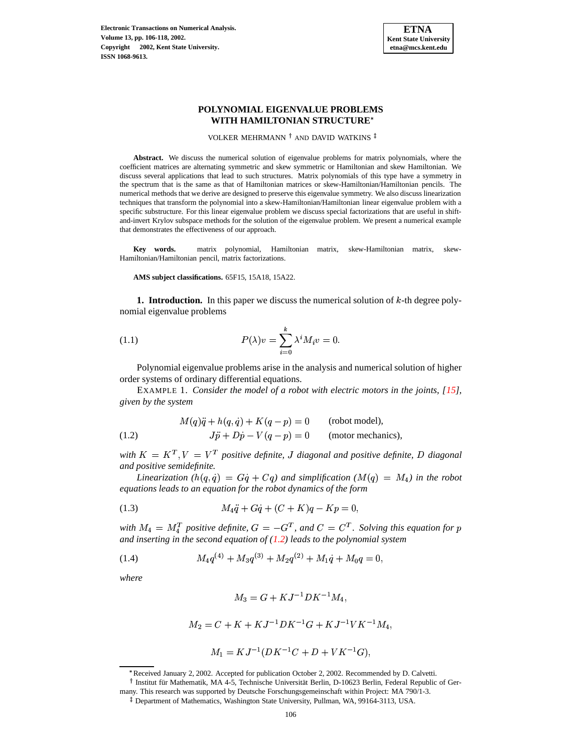**Electronic Transactions on Numerical Analysis. Volume 13, pp. 106-118, 2002. Copyright 2002, Kent State University. ISSN 1068-9613.**



# **POLYNOMIAL EIGENVALUE PROBLEMS WITH HAMILTONIAN STRUCTURE**

VOLKER MEHRMANN  $^{\dagger}$  and DAVID WATKINS

**Abstract.** We discuss the numerical solution of eigenvalue problems for matrix polynomials, where the coefficient matrices are alternating symmetric and skew symmetric or Hamiltonian and skew Hamiltonian. We discuss several applications that lead to such structures. Matrix polynomials of this type have a symmetry in the spectrum that is the same as that of Hamiltonian matrices or skew-Hamiltonian/Hamiltonian pencils. The numerical methods that we derive are designed to preserve this eigenvalue symmetry. We also discuss linearization techniques that transform the polynomial into a skew-Hamiltonian/Hamiltonian linear eigenvalue problem with a specific substructure. For this linear eigenvalue problem we discuss special factorizations that are useful in shiftand-invert Krylov subspace methods for the solution of the eigenvalue problem. We present a numerical example that demonstrates the effectiveness of our approach.

**Key words.** matrix polynomial, Hamiltonian matrix, skew-Hamiltonian matrix, skew-Hamiltonian/Hamiltonian pencil, matrix factorizations.

**AMS subject classifications.** 65F15, 15A18, 15A22.

**1. Introduction.** In this paper we discuss the numerical solution of  $k$ -th degree polynomial eigenvalue problems

<span id="page-0-1"></span>(1.1) 
$$
P(\lambda)v = \sum_{i=0}^{k} \lambda^{i} M_{i}v = 0.
$$

Polynomial eigenvalue problems arise in the analysis and numerical solution of higher order systems of ordinary differential equations.

EXAMPLE 1. *Consider the model of a robot with electric motors in the joints, [\[15\]](#page-12-0), given by the system*

<span id="page-0-0"></span>(1.2) 
$$
M(q)\ddot{q} + h(q, \dot{q}) + K(q - p) = 0 \qquad \text{(robot model)},
$$

$$
J\ddot{p} + D\dot{p} - V(q - p) = 0 \qquad \text{(motor mechanics)},
$$

with  $K = K^T, V = V^T$  positive definite, J diagonal and positive definite, D diagonal *and positive semidefinite.*

*Linearization*  $(h(q, \dot{q}) = G\dot{q} + Cq)$  *and simplification*  $(M(q) = M_4)$  *in the robot equations leads to an equation for the robot dynamics of the form*

(1.3) 
$$
M_4 \ddot{q} + G \dot{q} + (C + K)q - Kp = 0,
$$

with  $M_4 = M_4^T$  positive definite,  $G = -G^T$ , and  $C = C^T$ . Solving this equation for p *and inserting in the second equation of [\(1.2\)](#page-0-0) leads to the polynomial system*

(1.4) 
$$
M_4 q^{(4)} + M_3 q^{(3)} + M_2 q^{(2)} + M_1 \dot{q} + M_0 q = 0,
$$

*where*

$$
M_3 = G + KJ^{-1}DK^{-1}M_4,
$$

$$
M_2 = C + K + KJ^{-1}DK^{-1}G + KJ^{-1}VK^{-1}M_4,
$$
  

$$
M_1 = KJ^{-1}(DK^{-1}C + D + VK^{-1}G),
$$

<sup>f</sup> Received January 2, 2002. Accepted for publication October 2, 2002. Recommended by D. Calvetti.

<sup>&</sup>lt;sup>†</sup> Institut für Mathematik, MA 4-5, Technische Universität Berlin, D-10623 Berlin, Federal Republic of Ger-

many. This research was supported by Deutsche Forschungsgemeinschaft within Project: MA 790/1-3.

<sup>-</sup> Department of Mathematics, Washington State University, Pullman, WA, 99164-3113, USA.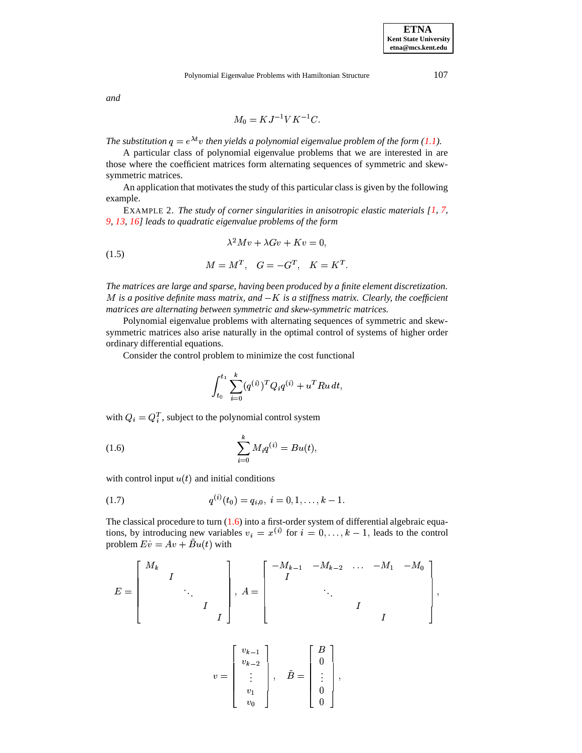*and*

$$
M_0 = K J^{-1} V K^{-1} C.
$$

*The substitution*  $q = e^{\lambda t}v$  *then yields a polynomial eigenvalue problem of the form* [\(1.1\)](#page-0-1)*.* 

A particular class of polynomial eigenvalue problems that we are interested in are those where the coefficient matrices form alternating sequences of symmetric and skewsymmetric matrices.

An application that motivates the study of this particular class is given by the following example.

EXAMPLE 2. *The study of corner singularities in anisotropic elastic materials [\[1,](#page-11-0) [7,](#page-11-1) [9,](#page-11-2) [13,](#page-12-1) [16\]](#page-12-2) leads to quadratic eigenvalue problems of the form*

$$
\lambda^2 M v + \lambda G v + K v = 0,
$$

<span id="page-1-2"></span>
$$
(1.5)
$$

$$
M = M^T, \quad G = -G^T, \quad K = K^T.
$$

*The matrices are large and sparse, having been produced by a finite element discretization. M* is a positive definite mass matrix, and  $-K$  is a stiffness matrix. Clearly, the coefficient *matrices are alternating between symmetric and skew-symmetric matrices.*

Polynomial eigenvalue problems with alternating sequences of symmetric and skewsymmetric matrices also arise naturally in the optimal control of systems of higher order ordinary differential equations.

Consider the control problem to minimize the cost functional

$$
\int_{t_0}^{t_1} \sum_{i=0}^k (q^{(i)})^T Q_i q^{(i)} + u^T R u dt,
$$

with  $Q_i = Q_i^T$ , subject to the polynomial control system

<span id="page-1-0"></span>(1.6) 
$$
\sum_{i=0}^{k} M_i q^{(i)} = B u(t),
$$

with control input  $u(t)$  and initial conditions

<span id="page-1-1"></span>(1.7) 
$$
q^{(i)}(t_0) = q_{i,0}, i = 0, 1, \ldots, k-1.
$$

The classical procedure to turn  $(1.6)$  into a first-order system of differential algebraic equations, by introducing new variables  $v_i = x^{(i)}$  for  $i = 0, \ldots, k - 1$ , leads to the control problem  $E\dot{v} = Av + Bu(t)$  with

$$
E = \begin{bmatrix} M_k & & & \\ & I & & \\ & & \ddots & \\ & & & I & \\ & & & & I \end{bmatrix}, A = \begin{bmatrix} -M_{k-1} & -M_{k-2} & \dots & -M_1 & -M_0 \\ I & & & \ddots & \\ & & & & I & \\ & & & & & I \end{bmatrix},
$$

$$
v = \begin{bmatrix} v_{k-1} \\ v_{k-2} \\ \vdots \\ v_1 \\ v_0 \end{bmatrix}, \quad \tilde{B} = \begin{bmatrix} B \\ 0 \\ \vdots \\ 0 \\ 0 \end{bmatrix},
$$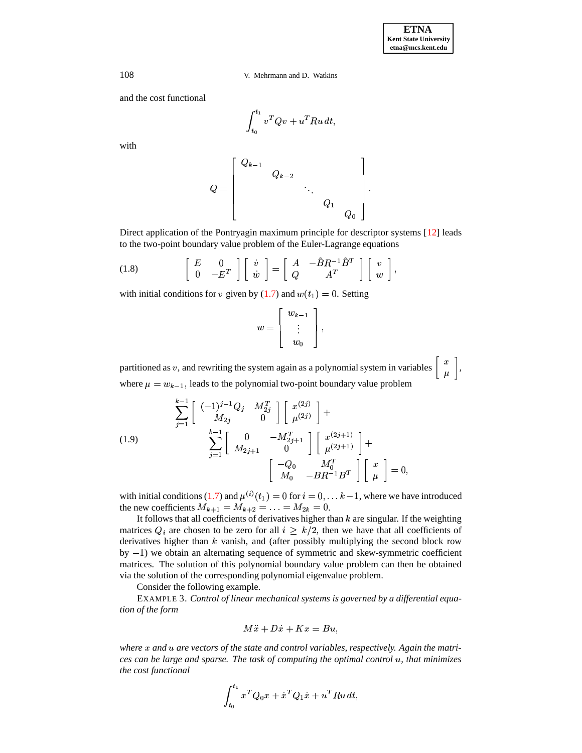and the cost functional

$$
\int_{t_0}^{t_1} v^TQv+u^TRu\,dt,
$$

with

$$
Q = \left[ \begin{array}{cccc} Q_{k-1} & & & & \\ & Q_{k-2} & & & \\ & & \ddots & & \\ & & & Q_1 & \\ & & & & Q_0 \end{array} \right].
$$

Direct application of the Pontryagin maximum principle for descriptor systems [\[12\]](#page-12-3) leads to the two-point boundary value problem of the Euler-Lagrange equations

(1.8) 
$$
\begin{bmatrix} E & 0 \ 0 & -E^T \end{bmatrix} \begin{bmatrix} \dot{v} \\ \dot{w} \end{bmatrix} = \begin{bmatrix} A & -\tilde{B}R^{-1}\tilde{B}^T \\ Q & A^T \end{bmatrix} \begin{bmatrix} v \\ w \end{bmatrix},
$$

with initial conditions for v given by [\(1.7\)](#page-1-1) and  $w(t_1) = 0$ . Setting

$$
w = \left[ \begin{array}{c} w_{k-1} \\ \vdots \\ w_0 \end{array} \right],
$$

partitioned as v, and rewriting the system again as a polynomial system in variables  $\left[ \begin{array}{c} x \ y \end{array} \right]$ , where  $\mu = w_{k-1}$ , leads to the polynomial two-point boundary value problem

<span id="page-2-0"></span>(1.9)  
\n
$$
\sum_{j=1}^{k-1} \begin{bmatrix} (-1)^{j-1}Q_j & M_{2j}^T \ M_{2j} & 0 \end{bmatrix} \begin{bmatrix} x^{(2j)} \ \mu^{(2j)} \end{bmatrix} +
$$
\n
$$
\sum_{j=1}^{k-1} \begin{bmatrix} 0 & -M_{2j+1}^T \ M_{2j+1} & 0 \end{bmatrix} \begin{bmatrix} x^{(2j+1)} \ \mu^{(2j+1)} \end{bmatrix} +
$$
\n
$$
\begin{bmatrix} -Q_0 & M_0^T \ M_0 & -BR^{-1}B^T \end{bmatrix} \begin{bmatrix} x \ \mu \end{bmatrix} = 0,
$$

with initial conditions [\(1.7\)](#page-1-1) and  $\mu^{(i)}(t_1) = 0$  for  $i = 0, \ldots k-1$ , where we have introduced the new coefficients  $M_{k+1} = M_{k+2} = \ldots = M_{2k} = 0$ .

It follows that all coefficients of derivatives higher than  $k$  are singular. If the weighting matrices  $Q_i$  are chosen to be zero for all  $i \geq k/2$ , then we have that all coefficients of derivatives higher than  $k$  vanish, and (after possibly multiplying the second block row by  $-1$ ) we obtain an alternating sequence of symmetric and skew-symmetric coefficient matrices. The solution of this polynomial boundary value problem can then be obtained via the solution of the corresponding polynomial eigenvalue problem.

Consider the following example.

EXAMPLE 3. *Control of linear mechanical systems is governed by a differential equation of the form*

$$
M\ddot{x} + D\dot{x} + Kx = Bu,
$$

where x and u are vectors of the state and control variables, respectively. Again the matri*ces can be large and sparse. The task of computing the optimal control , that minimizes the cost functional*

$$
\int_{t_0}^{t_1} x^T Q_0 x + \dot{x}^T Q_1 \dot{x} + u^T R u \, dt,
$$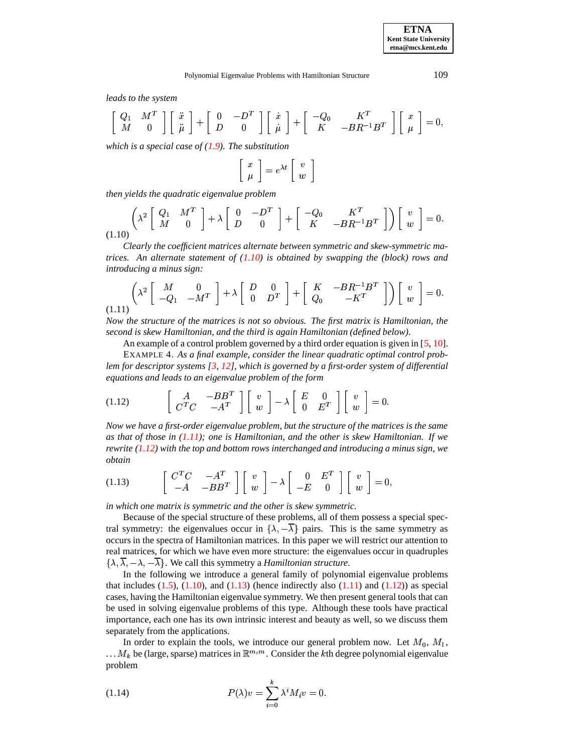*leads to the system*

$$
\begin{bmatrix} Q_1 & M^T \\ M & 0 \end{bmatrix} \begin{bmatrix} \ddot{x} \\ \ddot{\mu} \end{bmatrix} + \begin{bmatrix} 0 & -D^T \\ D & 0 \end{bmatrix} \begin{bmatrix} \dot{x} \\ \dot{\mu} \end{bmatrix} + \begin{bmatrix} -Q_0 & K^T \\ K & -BR^{-1}B^T \end{bmatrix} \begin{bmatrix} x \\ \mu \end{bmatrix} = 0,
$$

*which is a special case of [\(1.9\)](#page-2-0). The substitution*

$$
\left[\begin{array}{c} x \\ \mu \end{array}\right] = e^{\lambda t} \left[\begin{array}{c} v \\ w \end{array}\right]
$$

*then yields the quadratic eigenvalue problem*

<span id="page-3-0"></span>
$$
\begin{pmatrix} \lambda^2 \begin{bmatrix} Q_1 & M^T \\ M & 0 \end{bmatrix} + \lambda \begin{bmatrix} 0 & -D^T \\ D & 0 \end{bmatrix} + \begin{bmatrix} -Q_0 & K^T \\ K & -BR^{-1}B^T \end{bmatrix} \begin{bmatrix} v \\ w \end{bmatrix} = 0.
$$
\n(1.10)

*Clearly the coefficient matrices alternate between symmetric and skew-symmetric matrices. An alternate statement of [\(1.10\)](#page-3-0) is obtained by swapping the (block) rows and introducing a minus sign:*

<span id="page-3-1"></span>
$$
\begin{pmatrix} \lambda^2 \begin{bmatrix} M & 0 \\ -Q_1 & -M^T \end{bmatrix} + \lambda \begin{bmatrix} D & 0 \\ 0 & D^T \end{bmatrix} + \begin{bmatrix} K & -BR^{-1}B^T \\ Q_0 & -K^T \end{bmatrix} \end{pmatrix} \begin{bmatrix} v \\ w \end{bmatrix} = 0.
$$
\n(1.11)

*Now the structure of the matrices is not so obvious. The first matrix is Hamiltonian, the second is skew Hamiltonian, and the third is again Hamiltonian (defined below).*

An example of a control problem governed by a third order equation is given in [\[5,](#page-11-3) [10\]](#page-12-4).

EXAMPLE 4. *As a final example, consider the linear quadratic optimal control problem for descriptor systems [\[3,](#page-11-4) [12\]](#page-12-3), which is governed by a first-order system of differential equations and leads to an eigenvalue problem of the form*

<span id="page-3-2"></span>(1.12) 
$$
\begin{bmatrix} A & -BB^T \\ C^T C & -A^T \end{bmatrix} \begin{bmatrix} v \\ w \end{bmatrix} - \lambda \begin{bmatrix} E & 0 \\ 0 & E^T \end{bmatrix} \begin{bmatrix} v \\ w \end{bmatrix} = 0.
$$

*Now we have a first-order eigenvalue problem, but the structure of the matrices is the same as that of those in [\(1.11\)](#page-3-1); one is Hamiltonian, and the other is skew Hamiltonian. If we rewrite [\(1.12\)](#page-3-2) with the top and bottom rows interchanged and introducing a minus sign, we obtain*

<span id="page-3-3"></span>
$$
(1.13) \qquad \begin{bmatrix} C^T C & -A^T \\ -A & -B B^T \end{bmatrix} \begin{bmatrix} v \\ w \end{bmatrix} - \lambda \begin{bmatrix} 0 & E^T \\ -E & 0 \end{bmatrix} \begin{bmatrix} v \\ w \end{bmatrix} = 0,
$$

*in which one matrix is symmetric and the other is skew symmetric.*

Because of the special structure of these problems, all of them possess a special spectral symmetry: the eigenvalues occur in  $\{\lambda, -\overline{\lambda}\}$  pairs. This is the same symmetry as occurs in the spectra of Hamiltonian matrices. In this paper we will restrict our attention to real matrices, for which we have even more structure: the eigenvalues occur in quadruples  $\{\lambda, \overline{\lambda}, -\lambda, -\overline{\lambda}\}\.$  We call this symmetry a *Hamiltonian structure*.

In the following we introduce a general family of polynomial eigenvalue problems that includes  $(1.5)$ ,  $(1.10)$ , and  $(1.13)$  (hence indirectly also  $(1.11)$  and  $(1.12)$ ) as special cases, having the Hamiltonian eigenvalue symmetry. We then present general tools that can be used in solving eigenvalue problems of this type. Although these tools have practical importance, each one has its own intrinsic interest and beauty as well, so we discuss them separately from the applications.

In order to explain the tools, we introduce our general problem now. Let  $M_0$ ,  $M_1$ ,  $M_k$  be (large, sparse) matrices in  $\mathbb{R}^{m,m}$ . Consider the *k*th degree polynomial eigenvalue ...  $M_k$  be (large, sparse) matrices in  $\mathbb{R}^{m,m}$  . Consider t problem

<span id="page-3-4"></span>(1.14) 
$$
P(\lambda)v = \sum_{i=0}^{k} \lambda^{i} M_{i}v = 0.
$$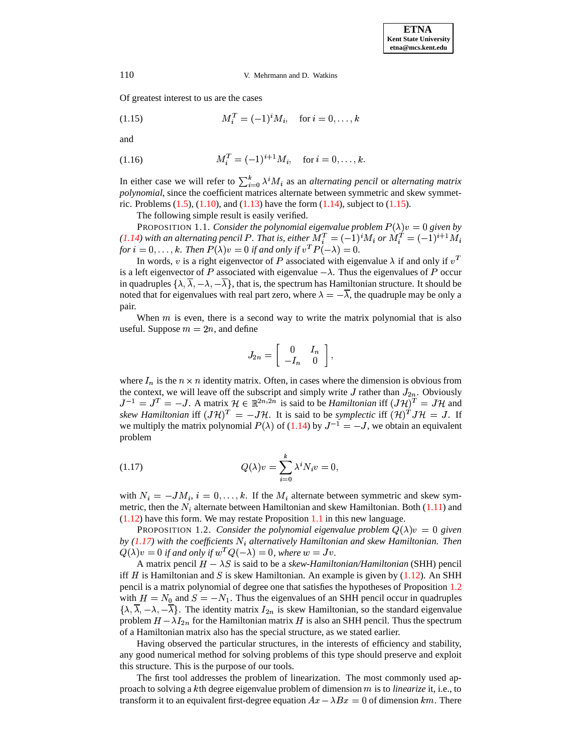Of greatest interest to us are the cases

<span id="page-4-0"></span>Of greatest interest to us are the cases

\n
$$
M_i^T = (-1)^i M_i, \quad \text{for } i = 0, \dots, k
$$

<span id="page-4-4"></span>and

(1.16) 
$$
M_i^T = (-1)^{i+1} M_i, \text{ for } i = 0, \dots, k.
$$

In either case we will refer to  $\sum_{i=0}^{k} \lambda^{i} M_{i}$  as an *alternating periodic* as an *alternating pencil* or *alternating matrix polynomial*, since the coefficient matrices alternate between symmetric and skew symmetric. Problems  $(1.5)$ ,  $(1.10)$ , and  $(1.13)$  have the form  $(1.14)$ , subject to  $(1.15)$ .

The following simple result is easily verified.

<span id="page-4-1"></span>PROPOSITION 1.1. *Consider the polynomial eigenvalue problem*  $P(\lambda) v = 0$  given by  $(1.14)$  with an alternating pencil P. That is, either  $M_i^T = (-1)^i M_i$  or  $M_i^T$ *n*  $P(\lambda)v = 0$  given by<br>or  $M_i^T = (-1)^{i+1} M_i$  $\blacksquare$  . The contract of the contract of the contract of the contract of the contract of the contract of the contract of the contract of the contract of the contract of the contract of the contract of the contract of the *for*  $i = 0, \ldots, k$ . Then  $P(\lambda)v = 0$  if and only if  $v^T P(-\lambda) = 0$ .

In words, v is a right eigenvector of P associated with eigenvalue  $\lambda$  if and only if  $v<sup>T</sup>$ is a left eigenvector of P associated with eigenvalue  $-\lambda$ . Thus the eigenvalues of P occur in quadruples  $\{\lambda, \overline{\lambda}, -\lambda, -\overline{\lambda}\}\$ , that is, the spectrum has Hamiltonian structure. It should be noted that for eigenvalues with real part zero, where  $\lambda = -\lambda$ , the quadruple may be only a pair.

When  $m$  is even, there is a second way to write the matrix polynomial that is also useful. Suppose  $m = 2n$ , and define

$$
J_{2n}=\left[\begin{array}{cc} 0 & I_n\\ -I_n & 0\end{array}\right],
$$

'

where  $I_n$  is the  $n \times n$  identity matrix. Often, in cases where the dimension is obvious from the context, we will leave off the subscript and simply write  $J$  rather than  $J_{2n}$ . Obviously  $J^{-1} = J^T = -J$ . A matrix  $\mathcal{H} \in \mathbb{R}^{2n,2n}$  is said to be *Hamiltonian* iff  $(J\mathcal{H})^T = J\mathcal{H}$  and skew Hamiltonian iff  $(J\mathcal{H})^T = -J\mathcal{H}$ . It is said to be *symplectic* iff  $(\mathcal{H})^T J\mathcal{H} = J$ . If we multiply the matrix polynomial  $P(\lambda)$  of [\(1.14\)](#page-3-4) by  $J^{-1} = -J$ , we obtain an equivalent problem

<span id="page-4-2"></span>(1.17) 
$$
Q(\lambda)v = \sum_{i=0}^{k} \lambda^i N_i v = 0,
$$

with  $N_i = -JM_i$ ,  $i = 0, \ldots, k$ . If the  $M_i$  alternate between symmetric and skew symmetric, then the  $N_i$  alternate between Hamiltonian and skew Hamiltonian. Both [\(1.11\)](#page-3-1) and  $(1.12)$  have this form. We may restate Proposition [1.1](#page-4-1) in this new language.

<span id="page-4-3"></span>**PROPOSITION 1.2.** *Consider the polynomial eigenvalue problem*  $Q(\lambda)v = 0$  *given* by  $(1.17)$  with the coefficients  $N_i$  alternatively Hamiltonian and skew Hamiltonian. Then  $Q(\lambda)v = 0$  if and only if  $w^TQ(-\lambda) = 0$ , where  $w = Jv$ .

A matrix pencil  $H - \lambda S$  is said to be a *skew-Hamiltonian/Hamiltonian* (SHH) pencil iff  $H$  is Hamiltonian and  $S$  is skew Hamiltonian. An example is given by  $(1.12)$ . An SHH pencil is a matrix polynomial of degree one that satisfies the hypotheses of Proposition [1.2](#page-4-3) with  $H = N_0$  and  $S = -N_1$ . Thus the eigenvalues of an SHH pencil occur in quadruples  $\{\lambda, \overline{\lambda}, -\lambda, -\overline{\lambda}\}\.$  The identity matrix  $I_{2n}$  is skew Hamiltonian, so the standard eigenvalue problem  $H - \lambda I_{2n}$  for the Hamiltonian matrix H is also an SHH pencil. Thus the spectrum of a Hamiltonian matrix also has the special structure, as we stated earlier.

Having observed the particular structures, in the interests of efficiency and stability, any good numerical method for solving problems of this type should preserve and exploit this structure. This is the purpose of our tools.

The first tool addresses the problem of linearization. The most commonly used approach to solving a kth degree eigenvalue problem of dimension m is to *linearize* it, i.e., to transform it to an equivalent first-degree equation  $Ax - \lambda Bx = 0$  of dimension km. There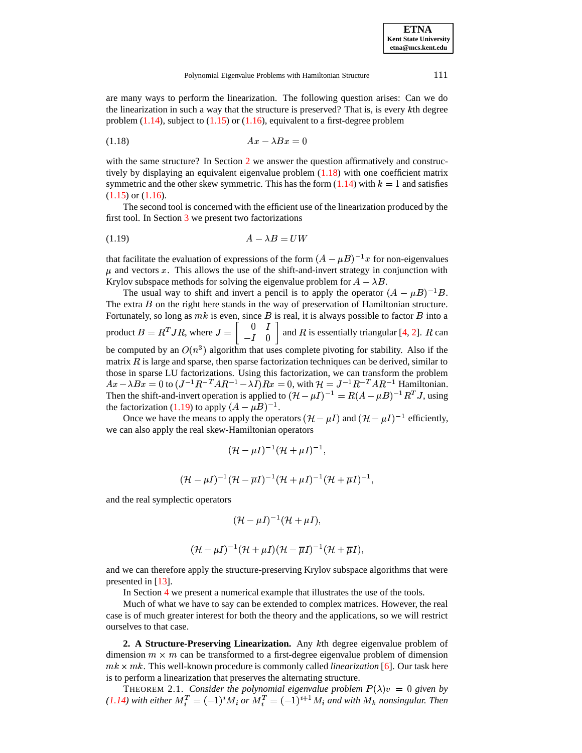are many ways to perform the linearization. The following question arises: Can we do the linearization in such a way that the structure is preserved? That is, is every  $k$ th degree problem  $(1.14)$ , subject to  $(1.15)$  or  $(1.16)$ , equivalent to a first-degree problem

<span id="page-5-1"></span>
$$
(1.18)\qquad \qquad Ax - \lambda Bx = 0
$$

with the same structure? In Section [2](#page-5-0) we answer the question affirmatively and constructively by displaying an equivalent eigenvalue problem  $(1.18)$  with one coefficient matrix symmetric and the other skew symmetric. This has the form  $(1.14)$  with  $k = 1$  and satisfies  $(1.15)$  or  $(1.16)$ .

The second tool is concerned with the efficient use of the linearization produced by the first tool. In Section  $3$  we present two factorizations

<span id="page-5-2"></span>
$$
(1.19) \t\t A - \lambda B = UW
$$

that facilitate the evaluation of expressions of the form  $(A - \mu B)^{-1}x$  for non-eigenvalues  $\mu$  and vectors x. This allows the use of the shift-and-invert strategy in conjunction with Krylov subspace methods for solving the eigenvalue problem for  $A - \lambda B$ .

The usual way to shift and invert a pencil is to apply the operator  $(A - \mu B)^{-1}B$ . The extra  $B$  on the right here stands in the way of preservation of Hamiltonian structure. Fortunately, so long as  $mk$  is even, since B is real, it is always possible to factor B into a product  $B = R^T J R$ , where  $J = \begin{bmatrix} 0 & I \\ I & 0 \end{bmatrix}$  and R i here  $J = \begin{bmatrix} 0 & 1 \\ -I & 0 \end{bmatrix}$  and R is essentially triangular [\[4,](#page-11-5) [2\]](#page-11-6). R can be computed by an  $O(n^3)$  algorithm that uses complete pivoting for stability. Also if the matrix  $R$  is large and sparse, then sparse factorization techniques can be derived, similar to those in sparse LU factorizations. Using this factorization, we can transform the problem  $Ax - \lambda Bx = 0$  to  $(J^{-1}R^{-T}AR^{-1} - \lambda I)Rx = 0$ , with  $\mathcal{H} = J^{-1}R^{-T}AR^{-1}$  Hamiltonian. Then the shift-and-invert operation is applied to  $(\mathcal{H} - \mu I)^{-1} = R(A - \mu B)^{-1} R^{T} J$ , using the factorization [\(1.19\)](#page-5-2) to apply  $(A - \mu B)^{-1}$ .

Once we have the means to apply the operators  $(\mathcal{H} - \mu I)$  and  $(\mathcal{H} - \mu I)^{-1}$  efficiently, we can also apply the real skew-Hamiltonian operators

$$
(\mathcal{H}-\mu I)^{-1}(\mathcal{H}+\mu I)^{-1},
$$

$$
(\mathcal{H} - \mu I)^{-1} (\mathcal{H} - \overline{\mu} I)^{-1} (\mathcal{H} + \mu I)^{-1} (\mathcal{H} + \overline{\mu} I)^{-1},
$$

and the real symplectic operators

$$
(\mathcal{H} - \mu I)^{-1}(\mathcal{H} + \mu I),
$$

$$
(\mathcal{H} - \mu I)^{-1}(\mathcal{H} + \mu I)(\mathcal{H} - \overline{\mu}I)^{-1}(\mathcal{H} + \overline{\mu}I),
$$

and we can therefore apply the structure-preserving Krylov subspace algorithms that were presented in [\[13\]](#page-12-1).

In Section [4](#page-9-0) we present a numerical example that illustrates the use of the tools.

Much of what we have to say can be extended to complex matrices. However, the real case is of much greater interest for both the theory and the applications, so we will restrict ourselves to that case.

<span id="page-5-0"></span>**2. A Structure-Preserving Linearization.** Any th degree eigenvalue problem of dimension  $m \times m$  can be transformed to a first-degree eigenvalue problem of dimension  $mk \times mk$ . This well-known procedure is commonly called *linearization* [\[6\]](#page-11-7). Our task here is to perform a linearization that preserves the alternating structure.

<span id="page-5-3"></span>THEOREM 2.1. *Consider the polynomial eigenvalue problem*  $P(\lambda)v = 0$  given by *CONDUMERTY THEOREM 2.1. Consider the polynomial eigenvalue problem*  $P(\lambda)v = 0$  *given by* **[\(1.14\)](#page-3-4) with either**  $M_i^T = (-1)^i M_i$  **or**  $M_i^T = (-1)^{i+1} M_i$  **and with**  $M_k$  **nonsingular. Then**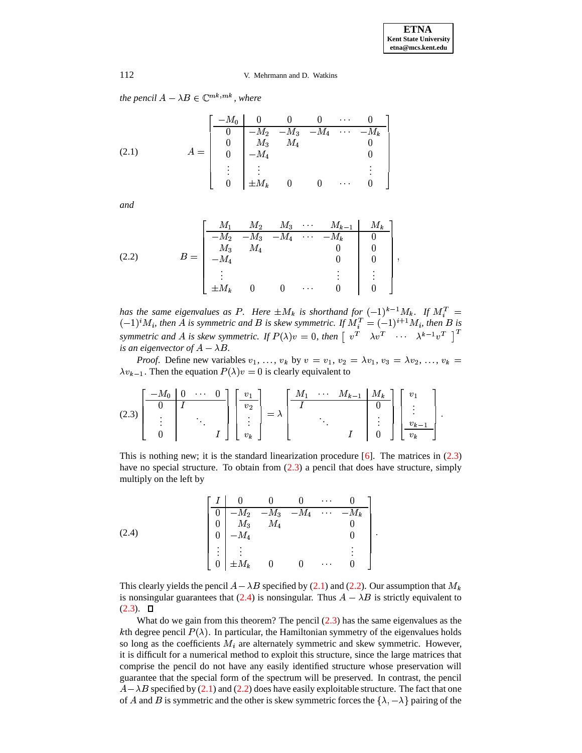<sup>+</sup> <sup>+</sup> <sup>+</sup> <sup>+</sup> <sup>+</sup> <sup>+</sup>

'

## 112 V. Mehrmann and D. Watkins

 $the$  *pencil*  $A - \lambda B \in \mathbb{C}^{mk,mk}$ , where

<span id="page-6-1"></span>(2.1) 
$$
A = \begin{bmatrix} -M_0 & 0 & 0 & 0 & \cdots & 0 \\ 0 & -M_2 & -M_3 & -M_4 & \cdots & -M_k \\ 0 & M_3 & M_4 & & 0 \\ 0 & -M_4 & & & 0 \\ \vdots & \vdots & & & \vdots \\ 0 & \pm M_k & 0 & 0 & \cdots & 0 \end{bmatrix}
$$

*and*

<span id="page-6-2"></span>(2.2) 
$$
B = \begin{bmatrix} M_1 & M_2 & M_3 & \cdots & M_{k-1} & M_k \\ \hline -M_2 & -M_3 & -M_4 & \cdots & -M_k & 0 \\ M_3 & M_4 & & 0 & 0 \\ -M_4 & & & 0 & 0 \\ \vdots & & & \vdots & \vdots \\ \pm M_k & 0 & 0 & \cdots & 0 & 0 \end{bmatrix},
$$

*has the same eigenvalues as P. Here*  $\pm M_k$  *is shorthand for*  $(-1)^{k-1}M_k$ . If  $M_i^T =$  $(-1)^i M_i$ , then A is symmetric and B is skew symmetric. If  $M_i^T = (-1)^{i+1} M_i$ , then B is *symmetric and A is skew symmetric.* If  $P(\lambda)v = 0$ , then  $\begin{bmatrix} v^T & \lambda v^T & \cdots & \lambda^{k-1} v^T \end{bmatrix}^T$ *is an eigenvector of*  $A - \lambda B$ .

*Proof.* Define new variables  $v_1, ..., v_k$  by  $v = v_1, v_2 = \lambda v_1, v_3 = \lambda v_2, ..., v_k =$  $\lambda v_{k-1}$ . Then the equation  $P(\lambda)v=0$  is clearly equivalent to

<span id="page-6-0"></span>
$$
(2.3) \begin{bmatrix} -M_0 & 0 & \cdots & 0 \\ 0 & I & & \\ \vdots & & \ddots & \\ 0 & & & I \end{bmatrix} \begin{bmatrix} v_1 \\ v_2 \\ \vdots \\ v_k \end{bmatrix} = \lambda \begin{bmatrix} M_1 & \cdots & M_{k-1} & M_k \\ I & & 0 \\ & \ddots & \\ & & I & 0 \end{bmatrix} \begin{bmatrix} v_1 \\ \vdots \\ v_{k-1} \\ \vdots \\ v_k \end{bmatrix}.
$$

This is nothing new; it is the standard linearization procedure  $[6]$ . The matrices in  $(2.3)$ have no special structure. To obtain from  $(2.3)$  a pencil that does have structure, simply multiply on the left by

<span id="page-6-3"></span>(2.4) 
$$
\begin{bmatrix} I & 0 & 0 & 0 & \cdots & 0 \\ \hline 0 & -M_2 & -M_3 & -M_4 & \cdots & -M_k \\ 0 & M_3 & M_4 & & 0 \\ 0 & -M_4 & & & 0 \\ \vdots & \vdots & & & \vdots \\ 0 & \pm M_k & 0 & 0 & \cdots & 0 \end{bmatrix}.
$$

This clearly yields the pencil  $A - \lambda B$  specified by [\(2.1\)](#page-6-1) and [\(2.2\)](#page-6-2). Our assumption that  $M_k$ is nonsingular guarantees that [\(2.4\)](#page-6-3) is nonsingular. Thus  $A - \lambda B$  is strictly equivalent to  $(2.3)$ .  $\square$ 

What do we gain from this theorem? The pencil  $(2.3)$  has the same eigenvalues as the kth degree pencil  $P(\lambda)$ . In particular, the Hamiltonian symmetry of the eigenvalues holds so long as the coefficients  $M_i$  are alternately symmetric and skew symmetric. However, it is difficult for a numerical method to exploit this structure, since the large matrices that comprise the pencil do not have any easily identified structure whose preservation will guarantee that the special form of the spectrum will be preserved. In contrast, the pencil  $A - \lambda B$  specified by [\(2.1\)](#page-6-1) and [\(2.2\)](#page-6-2) does have easily exploitable structure. The fact that one of A and B is symmetric and the other is skew symmetric forces the  $\{\lambda, -\lambda\}$  pairing of the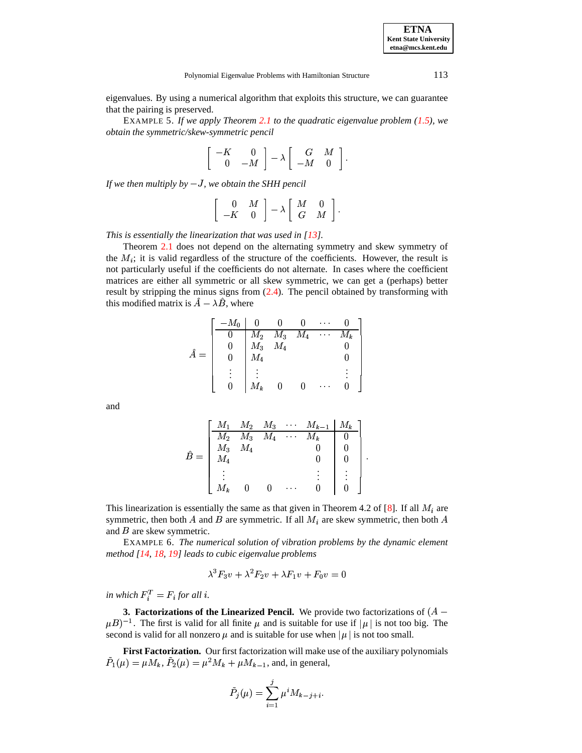<span id="page-7-1"></span>eigenvalues. By using a numerical algorithm that exploits this structure, we can guarantee that the pairing is preserved.

EXAMPLE 5. *If we apply Theorem [2.1](#page-5-3) to the quadratic eigenvalue problem [\(1.5\)](#page-1-2), we obtain the symmetric/skew-symmetric pencil*

$$
\left[\begin{array}{cc} -K & 0 \\ 0 & -M \end{array}\right] - \lambda \left[\begin{array}{cc} G & M \\ -M & 0 \end{array}\right].
$$

*If* we then multiply by  $-J$ , we obtain the SHH pencil

$$
\left[\begin{array}{cc} 0 & M \\ -K & 0 \end{array}\right] - \lambda \left[\begin{array}{cc} M & 0 \\ G & M \end{array}\right].
$$

*This is essentially the linearization that was used in [\[13\]](#page-12-1).*

Theorem [2.1](#page-5-3) does not depend on the alternating symmetry and skew symmetry of the  $M_i$ ; it is valid regardless of the structure of the coefficients. However, the result is not particularly useful if the coefficients do not alternate. In cases where the coefficient matrices are either all symmetric or all skew symmetric, we can get a (perhaps) better result by stripping the minus signs from  $(2.4)$ . The pencil obtained by transforming with this modified matrix is  $A - \lambda B$ , where

| $-M_0$ 0                                                                 | $\overline{\phantom{0}}$ |                  | $\sim$ $\sim$ $\sim$ |                  |
|--------------------------------------------------------------------------|--------------------------|------------------|----------------------|------------------|
|                                                                          |                          | $\overline{M}_4$ | $\sim 100$           | $\overline{M}_k$ |
|                                                                          |                          |                  |                      |                  |
| $\begin{array}{ccc} 0 & M_2 & M_3 \ 0 & M_3 & M_4 \ 0 & M_4 \end{array}$ |                          |                  |                      |                  |
| $\begin{array}{ccc} & \vdots & \vdots \\ \hline 1 & 0 & \end{array}$     |                          |                  |                      |                  |
|                                                                          | $\overline{0}$           |                  | $\ldots$             |                  |

and

|           |                          |                          |            | $\begin{bmatrix} M_1 & M_2 & M_3 & \cdots & M_{k-1} \end{bmatrix}$ $M_k$                                                             |                                                                              |  |
|-----------|--------------------------|--------------------------|------------|--------------------------------------------------------------------------------------------------------------------------------------|------------------------------------------------------------------------------|--|
|           |                          |                          |            | $\begin{array}{ c cccc } \hline M_2 & M_3 & M_4 & \cdots & M_k & 0 \ M_3 & M_4 & & & 0 & 0 \ M_4 & & & & 0 & 0 \ \hline \end{array}$ |                                                                              |  |
| $\hat{B}$ |                          |                          |            |                                                                                                                                      | $\begin{array}{c} \begin{array}{c} 0 \\ 0 \end{array} \end{array}$           |  |
|           |                          |                          |            |                                                                                                                                      |                                                                              |  |
|           |                          |                          |            |                                                                                                                                      | $\begin{array}{c} \begin{array}{c} \vdots \\ \vdots \end{array} \end{array}$ |  |
|           | $\overline{\phantom{0}}$ | $\overline{\phantom{0}}$ | $\ldots$ . | $\overline{0}$                                                                                                                       |                                                                              |  |

This linearization is essentially the same as that given in Theorem 4.2 of [\[8\]](#page-11-8). If all  $M_i$  are symmetric, then both A and B are symmetric. If all  $M_i$  are skew symmetric, then both A and  $B$  are skew symmetric.

EXAMPLE 6. *The numerical solution of vibration problems by the dynamic element method [\[14,](#page-12-5) [18,](#page-12-6) [19\]](#page-12-7) leads to cubic eigenvalue problems*

$$
\lambda^3 F_3 v + \lambda^2 F_2 v + \lambda F_1 v + F_0 v = 0
$$

*in which*  $F_i^T = F_i$  for all *i*.

<span id="page-7-0"></span>**3. Factorizations of the Linearized Pencil.** We provide two factorizations of  $(A (\mu B)^{-1}$ . The first is valid for all finite  $\mu$  and is suitable for use if  $|\mu|$  is not too big. The second is valid for all nonzero  $\mu$  and is suitable for use when  $|\mu|$  is not too small.

**First Factorization.** Our first factorization will make use of the auxiliary polynomials  $\tilde{P}_1(\mu) = \mu M_k$ ,  $\tilde{P}_2(\mu) = \mu^2 M_k + \mu M_{k-1}$ , and, in general,

$$
\tilde P_j(\mu)=\sum_{i=1}^j \mu^i M_{k-j+i}.
$$

the contract of the contract of the contract of the contract of the contract of the contract of the contract of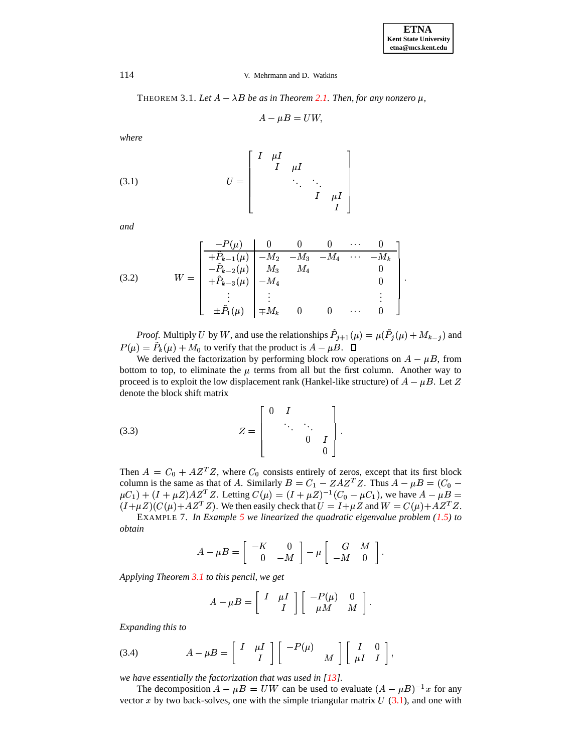**THEOREM** 3.1. Let  $A - \lambda B$  be as in Theorem [2.1.](#page-5-3) Then, for any nonzero  $\mu$ ,

$$
A - \mu B = UW,
$$

*where*

<span id="page-8-1"></span>(3.1) 
$$
U = \begin{bmatrix} I & \mu I & & & \\ & I & \mu I & & \\ & & \ddots & \ddots & \\ & & & I & \mu I \\ & & & & I \end{bmatrix}
$$

*and*

<span id="page-8-2"></span>(3.2) 
$$
W = \begin{bmatrix} -P(\mu) & 0 & 0 & 0 & \cdots & 0 \\ \overline{+ \tilde{P}_{k-1}(\mu)} & -M_2 & -M_3 & -M_4 & \cdots & -M_k \\ -\tilde{P}_{k-2}(\mu) & M_3 & M_4 & 0 \\ \overline{+ \tilde{P}_{k-3}(\mu)} & -M_4 & & & 0 \\ \vdots & \vdots & & & \vdots \\ \overline{+ \tilde{P}_1(\mu)} & \overline{+ M_k} & 0 & 0 & \cdots & 0 \end{bmatrix}.
$$

*Proof.* Multiply U by W, and use the relationships  $P_{j+1}(\mu) = \mu(P_j(\mu) + M_{k-j})$  and  $P(\mu) = P_k(\mu) + M_0$  to verify that the product is  $A - \mu B$ .  $\Box$ 

We derived the factorization by performing block row operations on  $A - \mu B$ , from bottom to top, to eliminate the  $\mu$  terms from all but the first column. Another way to proceed is to exploit the low displacement rank (Hankel-like structure) of  $A - \mu B$ . Let Z denote the block shift matrix

<span id="page-8-3"></span>
$$
(3.3) \t\t Z = \begin{bmatrix} 0 & I & & \\ & \ddots & \ddots & \\ & & 0 & I \\ & & & 0 \end{bmatrix}.
$$

Then  $A = C_0 + AZ^T Z$ , where  $C_0$  consists entirely of zeros, except that its first block column is the same as that of A. Similarly  $B = C_1 - ZAZ^T Z$ . Thus  $A - \mu B = (C_0 \mu C_1$  +  $(I + \mu Z)AZ^T Z$ . Letting  $C(\mu) = (I + \mu Z)^{-1}(C_0 - \mu C_1)$ , we have  $A - \mu B =$  $(I + \mu Z)(C(\mu) + AZ^T Z)$ . We then easily check that  $U = I + \mu Z$  and  $W = C(\mu) + AZ^T Z$ . EXAMPLE 7. *In Example [5](#page-7-1) we linearized the quadratic eigenvalue problem [\(1.5\)](#page-1-2) to obtain*

$$
A-\mu B=\left[\begin{array}{cc} -K & 0 \\ 0 & -M \end{array}\right]-\mu \left[\begin{array}{cc} G & M \\ -M & 0 \end{array}\right].
$$

*Applying Theorem [3.1](#page-8-0) to this pencil, we get*

$$
A - \mu B = \left[ \begin{array}{cc} I & \mu I \\ & I \end{array} \right] \left[ \begin{array}{cc} -P(\mu) & 0 \\ \mu M & M \end{array} \right].
$$

'

*Expanding this to*

(3.4) 
$$
A - \mu B = \begin{bmatrix} I & \mu I \\ & I \end{bmatrix} \begin{bmatrix} -P(\mu) & \\ & M \end{bmatrix} \begin{bmatrix} I & 0 \\ \mu I & I \end{bmatrix},
$$

*we have essentially the factorization that was used in [\[13\]](#page-12-1).*

The decomposition  $A - \mu B = UW$  can be used to evaluate  $(A - \mu B)^{-1}x$  for any vector x by two back-solves, one with the simple triangular matrix  $U(3.1)$  $U(3.1)$ , and one with

<span id="page-8-0"></span>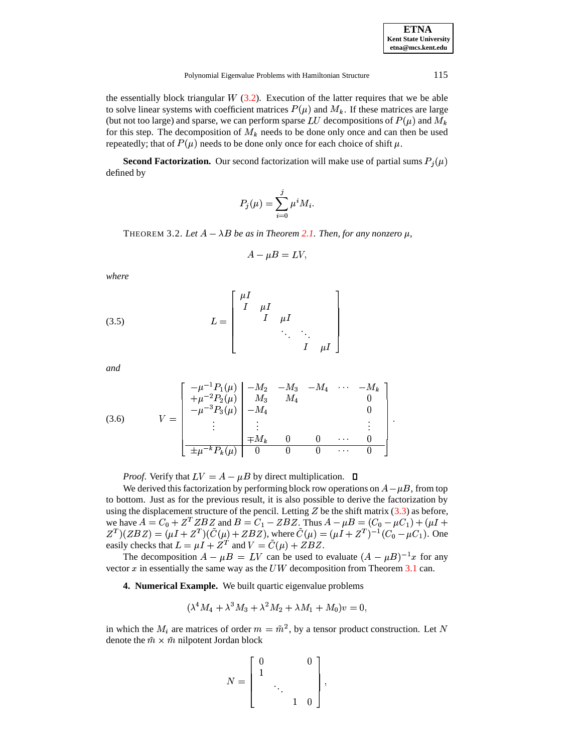| <b>ETNA</b>                  |
|------------------------------|
| <b>Kent State University</b> |
| etna@mcs.kent.edu            |

Polynomial Eigenvalue Problems with Hamiltonian Structure 115

the essentially block triangular  $W$  [\(3.2\)](#page-8-2). Execution of the latter requires that we be able to solve linear systems with coefficient matrices  $P(\mu)$  and  $M_k$ . If these matrices are large (but not too large) and sparse, we can perform sparse LU decompositions of  $P(\mu)$  and  $M_k$ for this step. The decomposition of  $M_k$  needs to be done only once and can then be used repeatedly; that of  $P(\mu)$  needs to be done only once for each choice of shift  $\mu$ .

**Second Factorization.** Our second factorization will make use of partial sums  $P_i(\mu)$ defined by

$$
P_j(\mu)=\sum_{i=0}^j \mu^i M_i.
$$

**THEOREM** 3.2. Let  $A - \lambda B$  be as in Theorem [2.1.](#page-5-3) Then, for any nonzero  $\mu$ ,

$$
A - \mu B = LV,
$$

*where*

(3.5) 
$$
L = \begin{bmatrix} \mu I & & & & \\ I & \mu I & & & \\ & I & \mu I & & \\ & & \ddots & \ddots & \\ & & & I & \mu I \end{bmatrix}
$$

*and*

(3.6) 
$$
V = \begin{bmatrix} -\mu^{-1}P_1(\mu) & -M_2 & -M_3 & -M_4 & \cdots & -M_k \\ +\mu^{-2}P_2(\mu) & M_3 & M_4 & 0 \\ -\mu^{-3}P_3(\mu) & -M_4 & 0 \\ \vdots & \vdots & & \vdots \\ -\mu^{-k}P_k(\mu) & 0 & 0 & 0 & \cdots & 0 \end{bmatrix}.
$$

*Proof.* Verify that  $LV = A - \mu B$  by direct multiplication.

We derived this factorization by performing block row operations on  $A - \mu B$ , from top to bottom. Just as for the previous result, it is also possible to derive the factorization by using the displacement structure of the pencil. Letting  $Z$  be the shift matrix [\(3.3\)](#page-8-3) as before, we have  $A = C_0 + Z^T Z B Z$  and  $B = C_1 - Z B Z$ . Thus  $A - \mu B = (C_0 - \mu C_1) + (\mu I +$  $Z^T$ )( $ZBZ$ ) =  $(\mu I + Z^T)(\tilde{C}(\mu) + ZBZ)$ , where  $\tilde{C}(\mu) = (\mu I + Z^T)^{-1}(C_0 - \mu C_1)$ . One easily checks that  $L = \mu I + Z^T$  and  $V = C(\mu) + ZBZ$ .

<span id="page-9-0"></span>The decomposition  $A - \mu B = LV$  can be used to evaluate  $(A - \mu B)^{-1}x$  for any vector  $x$  in essentially the same way as the  $UW$  decomposition from Theorem [3.1](#page-8-0) can.

**4. Numerical Example.** We built quartic eigenvalue problems

$$
(\lambda^4 M_4 + \lambda^3 M_3 + \lambda^2 M_2 + \lambda M_1 + M_0)v = 0,
$$

in which the  $M_i$  are matrices of order  $m = \tilde{m}^2$ , by a tensor product construction. Let N denote the  $\tilde{m} \times \tilde{m}$  nilpotent Jordan block

$$
N = \begin{bmatrix} 0 & & 0 \\ 1 & & \\ & \ddots & \\ & & 1 & 0 \end{bmatrix},
$$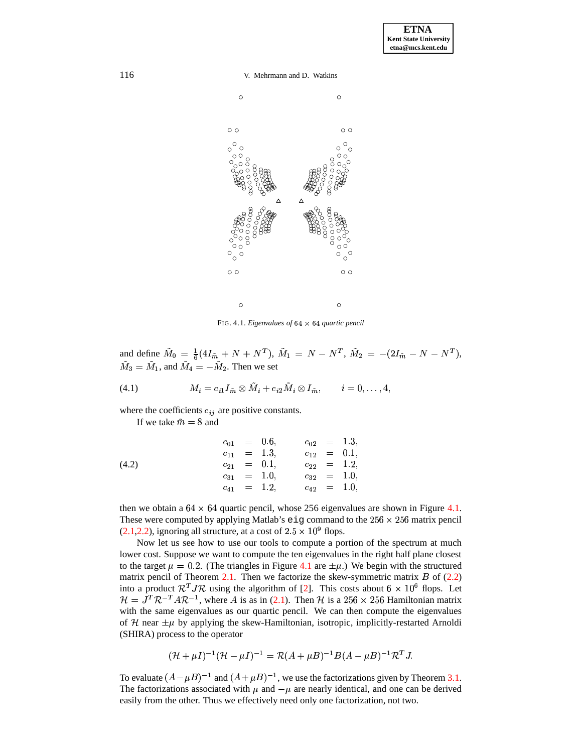116 V. Mehrmann and D. Watkins



<span id="page-10-0"></span> $FIG. 4.1. Eigenvalues of 64 \times 64$  *quartic pencil* 

and define  $\tilde{M}_0 = \frac{1}{6} (4I_{\tilde{m}} + N$  $\frac{1}{6}(4I_{\tilde{m}}+N+N^T),\,M_1\,=\,N-N^T,\,M_2\,=\,-(2I_{\tilde{m}}\,-\,N-N^T),$  $M_3 = M_1$ , and  $M_4 = -M_2$ . Then we set

(4.1) 
$$
M_i = c_{i1} I_{\tilde{m}} \otimes \tilde{M}_i + c_{i2} \tilde{M}_i \otimes I_{\tilde{m}}, \qquad i = 0, \ldots, 4,
$$

where the coefficients  $c_{ij}$  are positive constants.

If we take  $\tilde{m} = 8$  and

(4.2) 
$$
c_{01} = 0.6, \t c_{02} = 1.3,
$$

$$
c_{11} = 1.3, \t c_{12} = 0.1,
$$

$$
c_{21} = 0.1, \t c_{22} = 1.2,
$$

$$
c_{31} = 1.0, \t c_{32} = 1.0,
$$

$$
c_{41} = 1.2, \t c_{42} = 1.0,
$$

then we obtain a  $64 \times 64$  quartic pencil, whose 256 eigenvalues are shown in Figure [4.1.](#page-10-0) These were computed by applying Matlab's  $e$ ig command to the  $256 \times 256$  matrix pencil  $(2.1,2.2)$  $(2.1,2.2)$ , ignoring all structure, at a cost of  $2.5 \times 10^9$  flops.

Now let us see how to use our tools to compute a portion of the spectrum at much lower cost. Suppose we want to compute the ten eigenvalues in the right half plane closest to the target  $\mu = 0.2$ . (The triangles in Figure [4.1](#page-10-0) are  $\pm \mu$ .) We begin with the structured matrix pencil of Theorem [2.1.](#page-5-3) Then we factorize the skew-symmetric matrix  $B$  of [\(2.2\)](#page-6-2) into a product  $\mathcal{R}^T J \mathcal{R}$  using the algorithm of [\[2\]](#page-11-6). This costs about  $6 \times 10^6$  flops. Let  $\mathcal{H} = J^T \mathcal{R}^{-T} A \mathcal{R}^{-1}$ , where A is as in [\(2.1\)](#page-6-1). Then H is a 256  $\times$  256 Hamiltonian matrix with the same eigenvalues as our quartic pencil. We can then compute the eigenvalues of  $H$  near  $\pm \mu$  by applying the skew-Hamiltonian, isotropic, implicitly-restarted Arnoldi (SHIRA) process to the operator

$$
(\mathcal{H} + \mu I)^{-1} (\mathcal{H} - \mu I)^{-1} = \mathcal{R} (A + \mu B)^{-1} B (A - \mu B)^{-1} \mathcal{R}^T J.
$$

To evaluate  $(A - \mu B)^{-1}$  and  $(A + \mu B)^{-1}$ , we use the factorizations given by Theorem [3.1.](#page-8-0) The factorizations associated with  $\mu$  and  $-\mu$  are nearly identical, and one can be derived easily from the other. Thus we effectively need only one factorization, not two.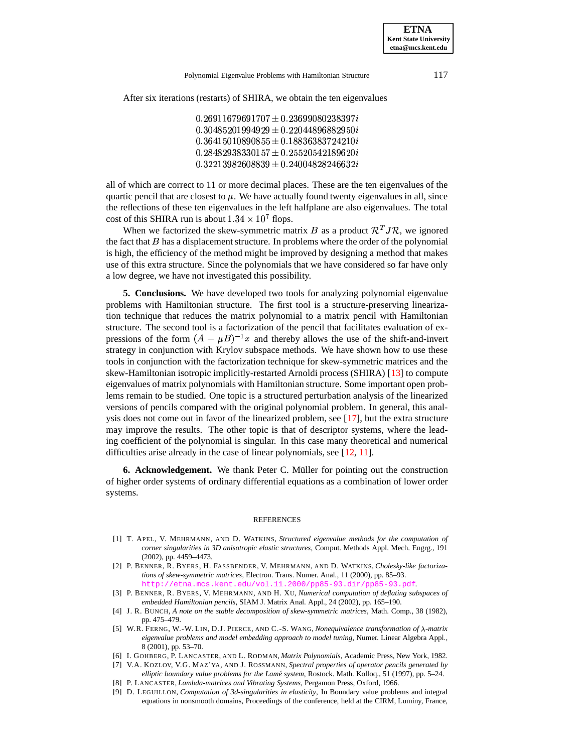After six iterations (restarts) of SHIRA, we obtain the ten eigenvalues

 $0.26911679691707 \pm 0.23699080238397i$  $0.30485201994929 \pm 0.22044896882950i$  $0.36415010890855 \pm 0.18836383724210i$  $0.28482938330157 \pm 0.25520542189620i$  $0.32213982608839 \pm 0.24004828246632i$ 

all of which are correct to 11 or more decimal places. These are the ten eigenvalues of the quartic pencil that are closest to  $\mu$ . We have actually found twenty eigenvalues in all, since the reflections of these ten eigenvalues in the left halfplane are also eigenvalues. The total cost of this SHIRA run is about  $1.34 \times 10^7$  flops.

When we factorized the skew-symmetric matrix B as a product  $\mathcal{R}^T J \mathcal{R}$ , we ignored the fact that  $B$  has a displacement structure. In problems where the order of the polynomial is high, the efficiency of the method might be improved by designing a method that makes use of this extra structure. Since the polynomials that we have considered so far have only a low degree, we have not investigated this possibility.

**5. Conclusions.** We have developed two tools for analyzing polynomial eigenvalue problems with Hamiltonian structure. The first tool is a structure-preserving linearization technique that reduces the matrix polynomial to a matrix pencil with Hamiltonian structure. The second tool is a factorization of the pencil that facilitates evaluation of ex-[ pressions of the form  $(A - \mu B)^{-1}x$  and thereby allows the use of the shift-and-invert strategy in conjunction with Krylov subspace methods. We have shown how to use these tools in conjunction with the factorization technique for skew-symmetric matrices and the skew-Hamiltonian isotropic implicitly-restarted Arnoldi process (SHIRA) [\[13\]](#page-12-1) to compute eigenvalues of matrix polynomials with Hamiltonian structure. Some important open problems remain to be studied. One topic is a structured perturbation analysis of the linearized versions of pencils compared with the original polynomial problem. In general, this analysis does not come out in favor of the linearized problem, see [\[17\]](#page-12-8), but the extra structure may improve the results. The other topic is that of descriptor systems, where the leading coefficient of the polynomial is singular. In this case many theoretical and numerical difficulties arise already in the case of linear polynomials, see [\[12,](#page-12-3) [11\]](#page-12-9).

**6. Acknowledgement.** We thank Peter C. Müller for pointing out the construction of higher order systems of ordinary differential equations as a combination of lower order systems.

#### **REFERENCES**

- <span id="page-11-0"></span>[1] T. APEL, V. MEHRMANN, AND D. WATKINS, *Structured eigenvalue methods for the computation of corner singularities in 3D anisotropic elastic structures*, Comput. Methods Appl. Mech. Engrg., 191 (2002), pp. 4459–4473.
- <span id="page-11-6"></span>[2] P. BENNER, R. BYERS, H. FASSBENDER, V. MEHRMANN, AND D. WATKINS, *Cholesky-like factorizations of skew-symmetric matrices*, Electron. Trans. Numer. Anal., 11 (2000), pp. 85–93. <http://etna.mcs.kent.edu/vol.11.2000/pp85-93.dir/pp85-93.pdf>.
- <span id="page-11-5"></span><span id="page-11-4"></span>[3] P. BENNER, R. BYERS, V. MEHRMANN, AND H. XU, *Numerical computation of deflating subspaces of embedded Hamiltonian pencils*, SIAM J. Matrix Anal. Appl., 24 (2002), pp. 165–190.
- [4] J. R. BUNCH, *A note on the stable decomposition of skew-symmetric matrices*, Math. Comp., 38 (1982), pp. 475–479.
- <span id="page-11-3"></span>[5] W.R. FERNG, W.-W. LIN, D.J. PIERCE, AND C.-S. WANG, *Nonequivalence transformation of -matrix eigenvalue problems and model embedding approach to model tuning*, Numer. Linear Algebra Appl., 8 (2001), pp. 53–70.
- <span id="page-11-7"></span><span id="page-11-1"></span>[6] I. GOHBERG, P. LANCASTER, AND L. RODMAN, *Matrix Polynomials*, Academic Press, New York, 1982.
- <span id="page-11-8"></span>[7] V.A. KOZLOV, V.G. MAZ'YA, AND J. ROSSMANN, *Spectral properties of operator pencils generated by elliptic boundary value problems for the Lame´ system*, Rostock. Math. Kolloq., 51 (1997), pp. 5–24.
- [8] P. LANCASTER, *Lambda-matrices and Vibrating Systems*, Pergamon Press, Oxford, 1966.
- <span id="page-11-2"></span>[9] D. LEGUILLON, *Computation of 3d-singularities in elasticity*, In Boundary value problems and integral equations in nonsmooth domains, Proceedings of the conference, held at the CIRM, Luminy, France,